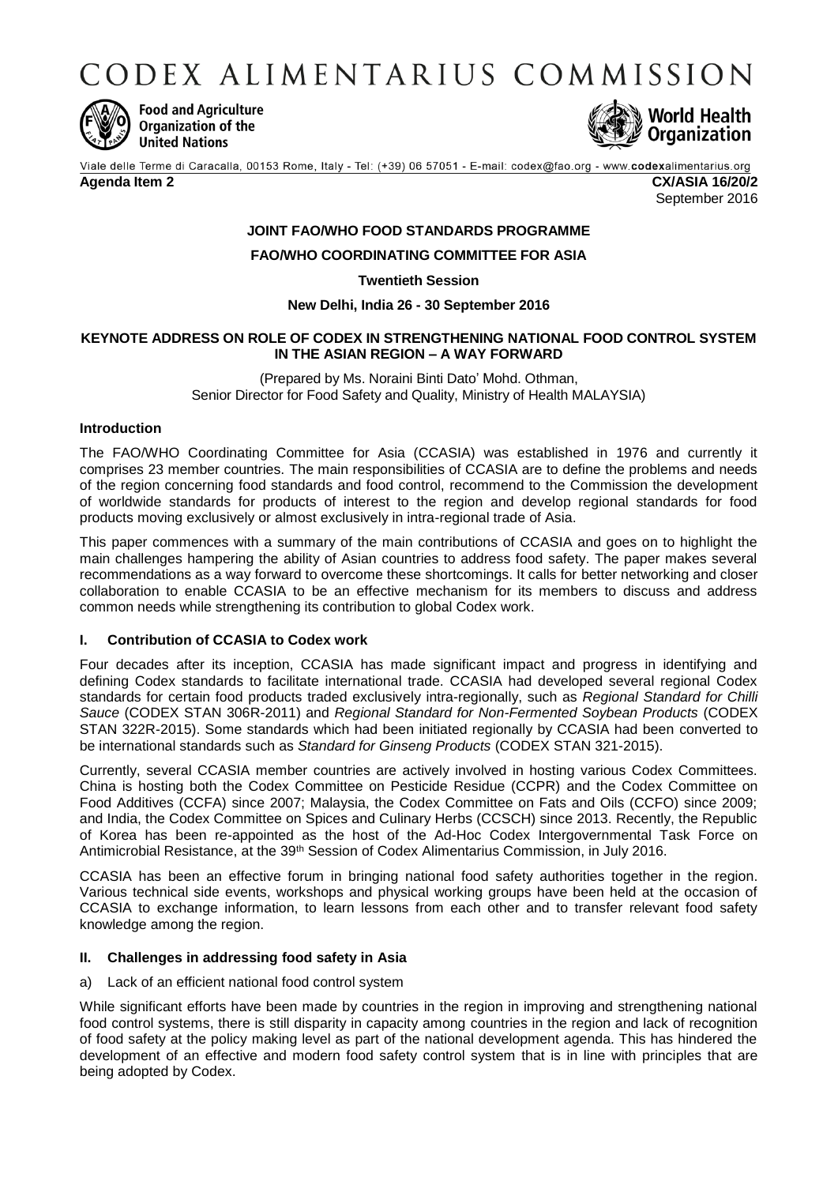CODEX ALIMENTARIUS COMMISSION



**Food and Agriculture** Organization of the **United Nations** 



Viale delle Terme di Caracalla, 00153 Rome, Italy - Tel: (+39) 06 57051 - E-mail: codex@fao.org - www.codexalimentarius.org **Agenda Item 2 CX/ASIA 16/20/2**

September 2016

# **JOINT FAO/WHO FOOD STANDARDS PROGRAMME**

# **FAO/WHO COORDINATING COMMITTEE FOR ASIA**

**Twentieth Session**

### **New Delhi, India 26 - 30 September 2016**

### **KEYNOTE ADDRESS ON ROLE OF CODEX IN STRENGTHENING NATIONAL FOOD CONTROL SYSTEM IN THE ASIAN REGION – A WAY FORWARD**

(Prepared by Ms. Noraini Binti Dato' Mohd. Othman, Senior Director for Food Safety and Quality, Ministry of Health MALAYSIA)

# **Introduction**

The FAO/WHO Coordinating Committee for Asia (CCASIA) was established in 1976 and currently it comprises 23 member countries. The main responsibilities of CCASIA are to define the problems and needs of the region concerning food standards and food control, recommend to the Commission the development of worldwide standards for products of interest to the region and develop regional standards for food products moving exclusively or almost exclusively in intra-regional trade of Asia.

This paper commences with a summary of the main contributions of CCASIA and goes on to highlight the main challenges hampering the ability of Asian countries to address food safety. The paper makes several recommendations as a way forward to overcome these shortcomings. It calls for better networking and closer collaboration to enable CCASIA to be an effective mechanism for its members to discuss and address common needs while strengthening its contribution to global Codex work.

#### **I. Contribution of CCASIA to Codex work**

Four decades after its inception, CCASIA has made significant impact and progress in identifying and defining Codex standards to facilitate international trade. CCASIA had developed several regional Codex standards for certain food products traded exclusively intra-regionally, such as *Regional Standard for Chilli Sauce* (CODEX STAN 306R-2011) and *Regional Standard for Non-Fermented Soybean Products* (CODEX STAN 322R-2015). Some standards which had been initiated regionally by CCASIA had been converted to be international standards such as *Standard for Ginseng Products* (CODEX STAN 321-2015).

Currently, several CCASIA member countries are actively involved in hosting various Codex Committees. China is hosting both the Codex Committee on Pesticide Residue (CCPR) and the Codex Committee on Food Additives (CCFA) since 2007; Malaysia, the Codex Committee on Fats and Oils (CCFO) since 2009; and India, the Codex Committee on Spices and Culinary Herbs (CCSCH) since 2013. Recently, the Republic of Korea has been re-appointed as the host of the Ad-Hoc Codex Intergovernmental Task Force on Antimicrobial Resistance, at the 39<sup>th</sup> Session of Codex Alimentarius Commission, in July 2016.

CCASIA has been an effective forum in bringing national food safety authorities together in the region. Various technical side events, workshops and physical working groups have been held at the occasion of CCASIA to exchange information, to learn lessons from each other and to transfer relevant food safety knowledge among the region.

#### **II. Challenges in addressing food safety in Asia**

#### a) Lack of an efficient national food control system

While significant efforts have been made by countries in the region in improving and strengthening national food control systems, there is still disparity in capacity among countries in the region and lack of recognition of food safety at the policy making level as part of the national development agenda. This has hindered the development of an effective and modern food safety control system that is in line with principles that are being adopted by Codex.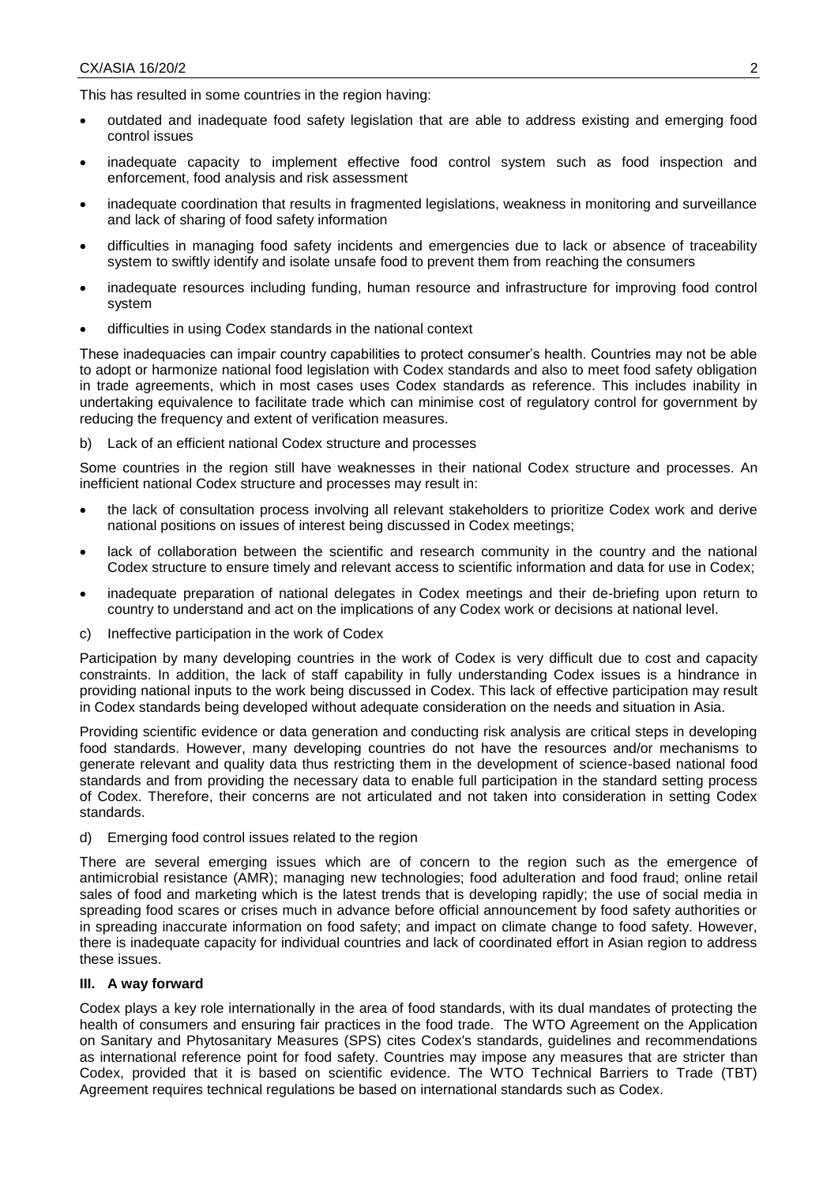This has resulted in some countries in the region having:

- outdated and inadequate food safety legislation that are able to address existing and emerging food control issues
- inadequate capacity to implement effective food control system such as food inspection and enforcement, food analysis and risk assessment
- inadequate coordination that results in fragmented legislations, weakness in monitoring and surveillance and lack of sharing of food safety information
- difficulties in managing food safety incidents and emergencies due to lack or absence of traceability system to swiftly identify and isolate unsafe food to prevent them from reaching the consumers
- inadequate resources including funding, human resource and infrastructure for improving food control system
- difficulties in using Codex standards in the national context

These inadequacies can impair country capabilities to protect consumer's health. Countries may not be able to adopt or harmonize national food legislation with Codex standards and also to meet food safety obligation in trade agreements, which in most cases uses Codex standards as reference. This includes inability in undertaking equivalence to facilitate trade which can minimise cost of regulatory control for government by reducing the frequency and extent of verification measures.

b) Lack of an efficient national Codex structure and processes

Some countries in the region still have weaknesses in their national Codex structure and processes. An inefficient national Codex structure and processes may result in:

- the lack of consultation process involving all relevant stakeholders to prioritize Codex work and derive national positions on issues of interest being discussed in Codex meetings;
- lack of collaboration between the scientific and research community in the country and the national Codex structure to ensure timely and relevant access to scientific information and data for use in Codex;
- inadequate preparation of national delegates in Codex meetings and their de-briefing upon return to country to understand and act on the implications of any Codex work or decisions at national level.
- c) Ineffective participation in the work of Codex

Participation by many developing countries in the work of Codex is very difficult due to cost and capacity constraints. In addition, the lack of staff capability in fully understanding Codex issues is a hindrance in providing national inputs to the work being discussed in Codex. This lack of effective participation may result in Codex standards being developed without adequate consideration on the needs and situation in Asia.

Providing scientific evidence or data generation and conducting risk analysis are critical steps in developing food standards. However, many developing countries do not have the resources and/or mechanisms to generate relevant and quality data thus restricting them in the development of science-based national food standards and from providing the necessary data to enable full participation in the standard setting process of Codex. Therefore, their concerns are not articulated and not taken into consideration in setting Codex standards.

d) Emerging food control issues related to the region

There are several emerging issues which are of concern to the region such as the emergence of antimicrobial resistance (AMR); managing new technologies; food adulteration and food fraud; online retail sales of food and marketing which is the latest trends that is developing rapidly; the use of social media in spreading food scares or crises much in advance before official announcement by food safety authorities or in spreading inaccurate information on food safety; and impact on climate change to food safety. However, there is inadequate capacity for individual countries and lack of coordinated effort in Asian region to address these issues.

#### **III. A way forward**

Codex plays a key role internationally in the area of food standards, with its dual mandates of protecting the health of consumers and ensuring fair practices in the food trade. The WTO Agreement on the Application on Sanitary and Phytosanitary Measures (SPS) cites Codex's standards, guidelines and recommendations as international reference point for food safety. Countries may impose any measures that are stricter than Codex, provided that it is based on scientific evidence. The WTO Technical Barriers to Trade (TBT) Agreement requires technical regulations be based on international standards such as Codex.